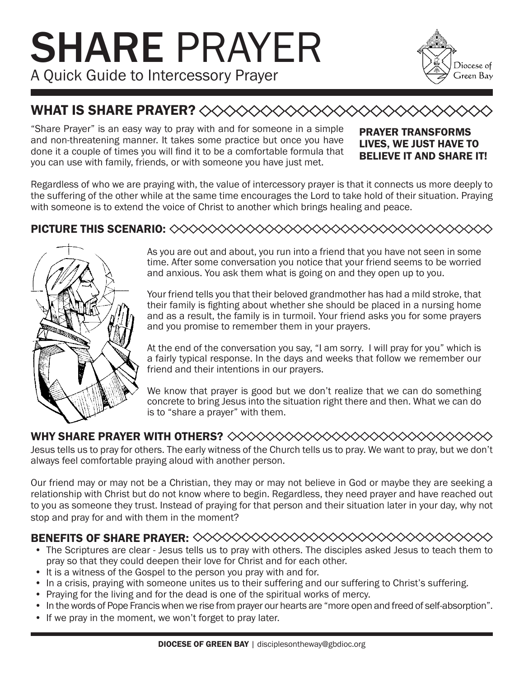# SHARE PRAYER A Quick Guide to Intercessory Prayer



## WHAT IS SHARE PRAYER? <><><<<<<

"Share Prayer" is an easy way to pray with and for someone in a simple and non-threatening manner. It takes some practice but once you have done it a couple of times you will find it to be a comfortable formula that you can use with family, friends, or with someone you have just met.

#### PRAYER TRANSFORMS LIVES, WE JUST HAVE TO BELIEVE IT AND SHARE IT!

Regardless of who we are praying with, the value of intercessory prayer is that it connects us more deeply to the suffering of the other while at the same time encourages the Lord to take hold of their situation. Praying with someone is to extend the voice of Christ to another which brings healing and peace.

#### PICTURE THIS SCENARIO:



As you are out and about, you run into a friend that you have not seen in some time. After some conversation you notice that your friend seems to be worried and anxious. You ask them what is going on and they open up to you.

Your friend tells you that their beloved grandmother has had a mild stroke, that their family is fighting about whether she should be placed in a nursing home and as a result, the family is in turmoil. Your friend asks you for some prayers and you promise to remember them in your prayers.

At the end of the conversation you say, "I am sorry. I will pray for you" which is a fairly typical response. In the days and weeks that follow we remember our friend and their intentions in our prayers.

We know that prayer is good but we don't realize that we can do something concrete to bring Jesus into the situation right there and then. What we can do is to "share a prayer" with them.

### WHY SHARE PRAYER WITH OTHERS?

Jesus tells us to pray for others. The early witness of the Church tells us to pray. We want to pray, but we don't always feel comfortable praying aloud with another person.

Our friend may or may not be a Christian, they may or may not believe in God or maybe they are seeking a relationship with Christ but do not know where to begin. Regardless, they need prayer and have reached out to you as someone they trust. Instead of praying for that person and their situation later in your day, why not stop and pray for and with them in the moment?

#### BENEFITS OF SHARE PRAYER:

- The Scriptures are clear Jesus tells us to pray with others. The disciples asked Jesus to teach them to pray so that they could deepen their love for Christ and for each other.
- It is a witness of the Gospel to the person you pray with and for.
- In a crisis, praying with someone unites us to their suffering and our suffering to Christ's suffering.
- Praying for the living and for the dead is one of the spiritual works of mercy.
- In the words of Pope Francis when we rise from prayer our hearts are "more open and freed of self-absorption".
- If we pray in the moment, we won't forget to pray later.